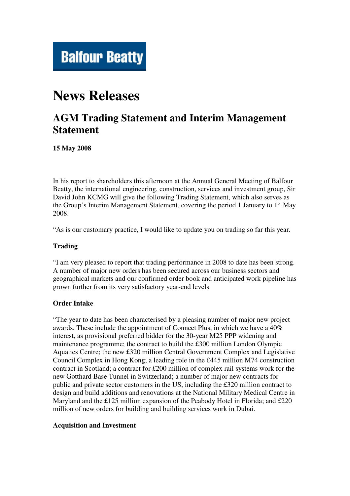

# **News Releases**

# **AGM Trading Statement and Interim Management Statement**

**15 May 2008**

In his report to shareholders this afternoon at the Annual General Meeting of Balfour Beatty, the international engineering, construction, services and investment group, Sir David John KCMG will give the following Trading Statement, which also serves as the Group's Interim Management Statement, covering the period 1 January to 14 May 2008.

"As is our customary practice, I would like to update you on trading so far this year.

#### **Trading**

"I am very pleased to report that trading performance in 2008 to date has been strong. A number of major new orders has been secured across our business sectors and geographical markets and our confirmed order book and anticipated work pipeline has grown further from its very satisfactory year-end levels.

## **Order Intake**

"The year to date has been characterised by a pleasing number of major new project awards. These include the appointment of Connect Plus, in which we have a 40% interest, as provisional preferred bidder for the 30-year M25 PPP widening and maintenance programme; the contract to build the £300 million London Olympic Aquatics Centre; the new £320 million Central Government Complex and Legislative Council Complex in Hong Kong; a leading role in the £445 million M74 construction contract in Scotland; a contract for £200 million of complex rail systems work for the new Gotthard Base Tunnel in Switzerland; a number of major new contracts for public and private sector customers in the US, including the £320 million contract to design and build additions and renovations at the National Military Medical Centre in Maryland and the £125 million expansion of the Peabody Hotel in Florida; and £220 million of new orders for building and building services work in Dubai.

#### **Acquisition and Investment**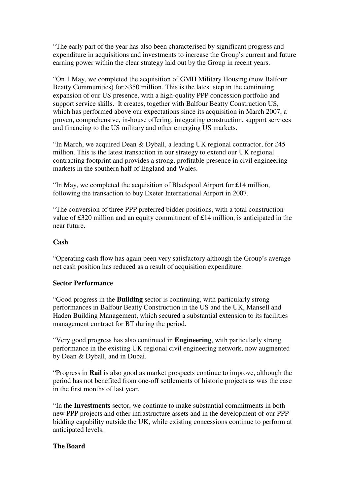"The early part of the year has also been characterised by significant progress and expenditure in acquisitions and investments to increase the Group's current and future earning power within the clear strategy laid out by the Group in recent years.

"On 1 May, we completed the acquisition of GMH Military Housing (now Balfour Beatty Communities) for \$350 million. This is the latest step in the continuing expansion of our US presence, with a high-quality PPP concession portfolio and support service skills. It creates, together with Balfour Beatty Construction US, which has performed above our expectations since its acquisition in March 2007, a proven, comprehensive, in-house offering, integrating construction, support services and financing to the US military and other emerging US markets.

"In March, we acquired Dean & Dyball, a leading UK regional contractor, for £45 million. This is the latest transaction in our strategy to extend our UK regional contracting footprint and provides a strong, profitable presence in civil engineering markets in the southern half of England and Wales.

"In May, we completed the acquisition of Blackpool Airport for £14 million, following the transaction to buy Exeter International Airport in 2007.

"The conversion of three PPP preferred bidder positions, with a total construction value of £320 million and an equity commitment of £14 million, is anticipated in the near future.

#### **Cash**

"Operating cash flow has again been very satisfactory although the Group's average net cash position has reduced as a result of acquisition expenditure.

#### **Sector Performance**

"Good progress in the **Building** sector is continuing, with particularly strong performances in Balfour Beatty Construction in the US and the UK, Mansell and Haden Building Management, which secured a substantial extension to its facilities management contract for BT during the period.

"Very good progress has also continued in **Engineering**, with particularly strong performance in the existing UK regional civil engineering network, now augmented by Dean & Dyball, and in Dubai.

"Progress in **Rail** is also good as market prospects continue to improve, although the period has not benefited from one-off settlements of historic projects as was the case in the first months of last year.

"In the **Investments** sector, we continue to make substantial commitments in both new PPP projects and other infrastructure assets and in the development of our PPP bidding capability outside the UK, while existing concessions continue to perform at anticipated levels.

## **The Board**